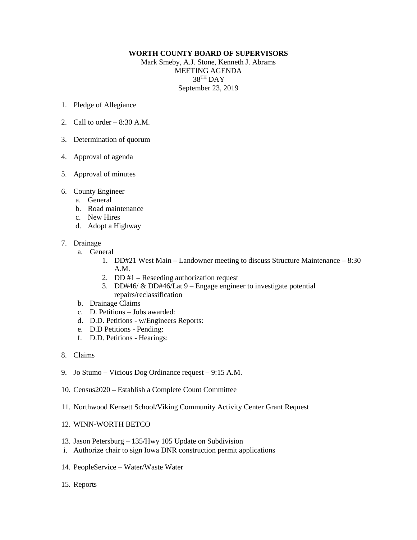## **WORTH COUNTY BOARD OF SUPERVISORS**

Mark Smeby, A.J. Stone, Kenneth J. Abrams MEETING AGENDA 38TH DAY September 23, 2019

- 1. Pledge of Allegiance
- 2. Call to order  $-8:30$  A.M.
- 3. Determination of quorum
- 4. Approval of agenda
- 5. Approval of minutes
- 6. County Engineer
	- a. General
	- b. Road maintenance
	- c. New Hires
	- d. Adopt a Highway
- 7. Drainage
	- a. General
		- 1. DD#21 West Main Landowner meeting to discuss Structure Maintenance 8:30 A.M.
		- 2. DD #1 Reseeding authorization request
		- 3. DD#46/ & DD#46/Lat 9 Engage engineer to investigate potential repairs/reclassification
	- b. Drainage Claims
	- c. D. Petitions Jobs awarded:
	- d. D.D. Petitions w/Engineers Reports:
	- e. D.D Petitions Pending:
	- f. D.D. Petitions Hearings:
- 8. Claims
- 9. Jo Stumo Vicious Dog Ordinance request 9:15 A.M.
- 10. Census2020 Establish a Complete Count Committee
- 11. Northwood Kensett School/Viking Community Activity Center Grant Request
- 12. WINN-WORTH BETCO
- 13. Jason Petersburg 135/Hwy 105 Update on Subdivision
- i. Authorize chair to sign Iowa DNR construction permit applications
- 14. PeopleService Water/Waste Water
- 15. Reports